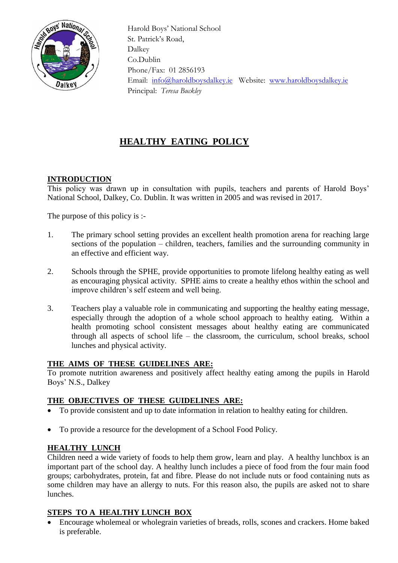

 Harold Boys' National School St. Patrick's Road, Dalkey Co.Dublin Phone/Fax: 01 2856193 Email: [info@haroldboysdalkey.ie](mailto:info@haroldboysdalkey.ie) Website: [www.haroldboysdalkey.ie](http://www.haroldboysdalkey.ie/) Principal: *Teresa Buckley*

# **HEALTHY EATING POLICY**

# **INTRODUCTION**

This policy was drawn up in consultation with pupils, teachers and parents of Harold Boys' National School, Dalkey, Co. Dublin. It was written in 2005 and was revised in 2017.

The purpose of this policy is :-

- 1. The primary school setting provides an excellent health promotion arena for reaching large sections of the population – children, teachers, families and the surrounding community in an effective and efficient way.
- 2. Schools through the SPHE, provide opportunities to promote lifelong healthy eating as well as encouraging physical activity. SPHE aims to create a healthy ethos within the school and improve children's self esteem and well being.
- 3. Teachers play a valuable role in communicating and supporting the healthy eating message, especially through the adoption of a whole school approach to healthy eating. Within a health promoting school consistent messages about healthy eating are communicated through all aspects of school life – the classroom, the curriculum, school breaks, school lunches and physical activity.

# **THE AIMS OF THESE GUIDELINES ARE:**

To promote nutrition awareness and positively affect healthy eating among the pupils in Harold Boys' N.S., Dalkey

# **THE OBJECTIVES OF THESE GUIDELINES ARE:**

- To provide consistent and up to date information in relation to healthy eating for children.
- To provide a resource for the development of a School Food Policy.

# **HEALTHY LUNCH**

Children need a wide variety of foods to help them grow, learn and play. A healthy lunchbox is an important part of the school day. A healthy lunch includes a piece of food from the four main food groups; carbohydrates, protein, fat and fibre. Please do not include nuts or food containing nuts as some children may have an allergy to nuts. For this reason also, the pupils are asked not to share lunches.

# **STEPS TO A HEALTHY LUNCH BOX**

• Encourage wholemeal or wholegrain varieties of breads, rolls, scones and crackers. Home baked is preferable.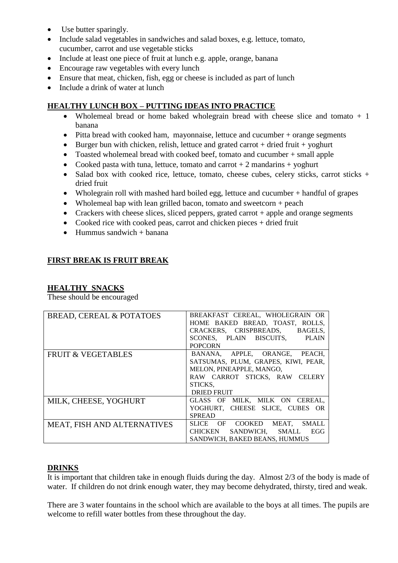- Use butter sparingly.
- Include salad vegetables in sandwiches and salad boxes, e.g. lettuce, tomato, cucumber, carrot and use vegetable sticks
- Include at least one piece of fruit at lunch e.g. apple, orange, banana
- Encourage raw vegetables with every lunch
- Ensure that meat, chicken, fish, egg or cheese is included as part of lunch
- Include a drink of water at lunch

# **HEALTHY LUNCH BOX – PUTTING IDEAS INTO PRACTICE**

- Wholemeal bread or home baked wholegrain bread with cheese slice and tomato  $+1$ banana
- Pitta bread with cooked ham, mayonnaise, lettuce and cucumber + orange segments
- Burger bun with chicken, relish, lettuce and grated carrot  $+$  dried fruit  $+$  yoghurt
- Toasted wholemeal bread with cooked beef, tomato and cucumber + small apple
- Cooked pasta with tuna, lettuce, tomato and carrot  $+2$  mandarins  $+$  yoghurt
- Salad box with cooked rice, lettuce, tomato, cheese cubes, celery sticks, carrot sticks + dried fruit
- Wholegrain roll with mashed hard boiled egg, lettuce and cucumber + handful of grapes
- Wholemeal bap with lean grilled bacon, tomato and sweetcorn + peach
- Crackers with cheese slices, sliced peppers, grated carrot  $+$  apple and orange segments
- Cooked rice with cooked peas, carrot and chicken pieces + dried fruit
- Hummus sandwich  $+$  banana

## **FIRST BREAK IS FRUIT BREAK**

## **HEALTHY SNACKS**

These should be encouraged

| <b>BREAD, CEREAL &amp; POTATOES</b> | BREAKFAST CEREAL, WHOLEGRAIN OR<br>HOME BAKED BREAD, TOAST, ROLLS,<br>CRACKERS, CRISPBREADS, BAGELS,<br>SCONES. PLAIN BISCUITS. PLAIN<br><b>POPCORN</b>     |
|-------------------------------------|-------------------------------------------------------------------------------------------------------------------------------------------------------------|
| <b>FRUIT &amp; VEGETABLES</b>       | BANANA, APPLE, ORANGE, PEACH,<br>SATSUMAS, PLUM, GRAPES, KIWI, PEAR,<br>MELON, PINEAPPLE, MANGO,<br>RAW CARROT STICKS, RAW CELERY<br>STICKS,<br>DRIED FRUIT |
| MILK, CHEESE, YOGHURT               | GLASS OF MILK, MILK ON CEREAL,<br>YOGHURT, CHEESE SLICE, CUBES OR<br><b>SPREAD</b>                                                                          |
| <b>MEAT, FISH AND ALTERNATIVES</b>  | MEAT.<br><b>SMALL</b><br>SLICE OF COOKED<br>SANDWICH, SMALL<br>CHICKEN<br>EGG<br>SANDWICH, BAKED BEANS, HUMMUS                                              |

## **DRINKS**

It is important that children take in enough fluids during the day. Almost 2/3 of the body is made of water. If children do not drink enough water, they may become dehydrated, thirsty, tired and weak.

There are 3 water fountains in the school which are available to the boys at all times. The pupils are welcome to refill water bottles from these throughout the day.